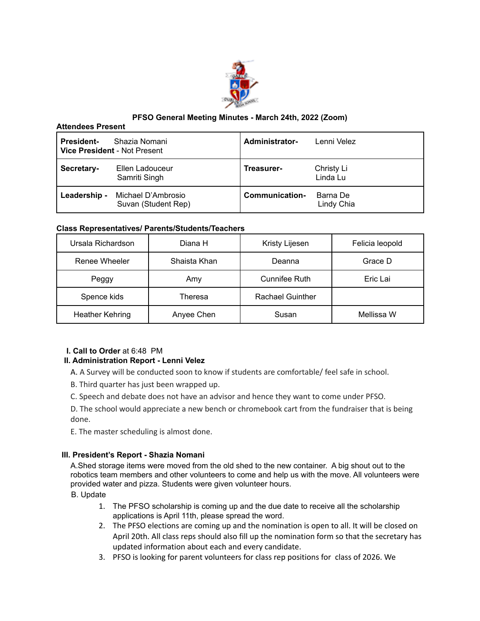

# **PFSO General Meeting Minutes - March 24th, 2022 (Zoom)**

#### **Attendees Present**

| <b>President-</b> | Shazia Nomani<br><b>Vice President - Not Present</b> | Administrator- | Lenni Velez            |
|-------------------|------------------------------------------------------|----------------|------------------------|
| Secretary-        | Ellen Ladouceur<br>Samriti Singh                     | Treasurer-     | Christy Li<br>Linda Lu |
| Leadership -      | Michael D'Ambrosio<br>Suvan (Student Rep)            | Communication- | Barna De<br>Lindy Chia |

# **Class Representatives/ Parents/Students/Teachers**

| Ursala Richardson      | Diana H      | Kristy Lijesen          | Felicia leopold |
|------------------------|--------------|-------------------------|-----------------|
| Renee Wheeler          | Shaista Khan | Deanna                  | Grace D         |
| Peggy                  | Amy          | Cunnifee Ruth           | Eric Lai        |
| Spence kids            | Theresa      | <b>Rachael Guinther</b> |                 |
| <b>Heather Kehring</b> | Anyee Chen   | Susan                   | Mellissa W      |

# **I. Call to Order** at 6:48 PM

# **II. Administration Report - Lenni Velez**

- A. A Survey will be conducted soon to know if students are comfortable/ feel safe in school.
- B. Third quarter has just been wrapped up.
- C. Speech and debate does not have an advisor and hence they want to come under PFSO.

D. The school would appreciate a new bench or chromebook cart from the fundraiser that is being done.

E. The master scheduling is almost done.

# **III. President's Report - Shazia Nomani**

A.Shed storage items were moved from the old shed to the new container. A big shout out to the robotics team members and other volunteers to come and help us with the move. All volunteers were provided water and pizza. Students were given volunteer hours.

B. Update

- 1. The PFSO scholarship is coming up and the due date to receive all the scholarship applications is April 11th, please spread the word.
- 2. The PFSO elections are coming up and the nomination is open to all. It will be closed on April 20th. All class reps should also fill up the nomination form so that the secretary has updated information about each and every candidate.
- 3. PFSO is looking for parent volunteers for class rep positions for class of 2026. We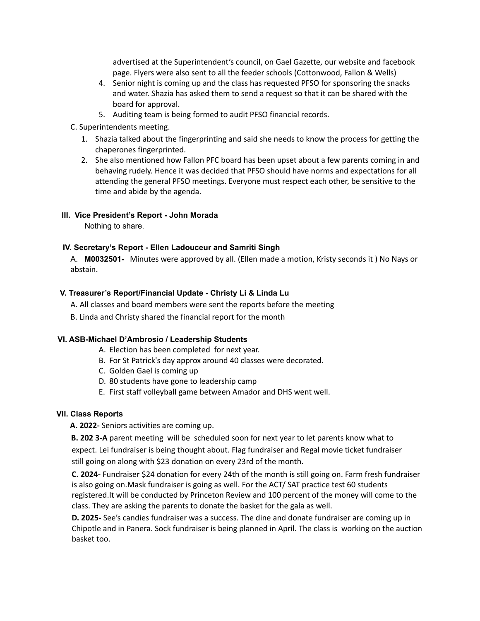advertised at the Superintendent's council, on Gael Gazette, our website and facebook page. Flyers were also sent to all the feeder schools (Cottonwood, Fallon & Wells)

- 4. Senior night is coming up and the class has requested PFSO for sponsoring the snacks and water. Shazia has asked them to send a request so that it can be shared with the board for approval.
- 5. Auditing team is being formed to audit PFSO financial records.

C. Superintendents meeting.

- 1. Shazia talked about the fingerprinting and said she needs to know the process for getting the chaperones fingerprinted.
- 2. She also mentioned how Fallon PFC board has been upset about a few parents coming in and behaving rudely. Hence it was decided that PFSO should have norms and expectations for all attending the general PFSO meetings. Everyone must respect each other, be sensitive to the time and abide by the agenda.

# **III. Vice President's Report - John Morada**

Nothing to share.

# **IV. Secretary's Report - Ellen Ladouceur and Samriti Singh**

A. **M0032501-** Minutes were approved by all. (Ellen made a motion, Kristy seconds it ) No Nays or abstain.

# **V. Treasurer's Report/Financial Update - Christy Li & Linda Lu**

A. All classes and board members were sent the reports before the meeting

B. Linda and Christy shared the financial report for the month

# **VI. ASB-Michael D'Ambrosio / Leadership Students**

- A. Election has been completed for next year.
- B. For St Patrick's day approx around 40 classes were decorated.
- C. Golden Gael is coming up
- D. 80 students have gone to leadership camp
- E. First staff volleyball game between Amador and DHS went well.

# **VII. Class Reports**

# **A. 2022-** Seniors activities are coming up.

**B. 202 3-A** parent meeting will be scheduled soon for next year to let parents know what to expect. Lei fundraiser is being thought about. Flag fundraiser and Regal movie ticket fundraiser still going on along with \$23 donation on every 23rd of the month.

**C. 2024-** Fundraiser \$24 donation for every 24th of the month is still going on. Farm fresh fundraiser is also going on.Mask fundraiser is going as well. For the ACT/ SAT practice test 60 students registered.It will be conducted by Princeton Review and 100 percent of the money will come to the class. They are asking the parents to donate the basket for the gala as well.

**D. 2025-** See's candies fundraiser was a success. The dine and donate fundraiser are coming up in Chipotle and in Panera. Sock fundraiser is being planned in April. The class is working on the auction basket too.